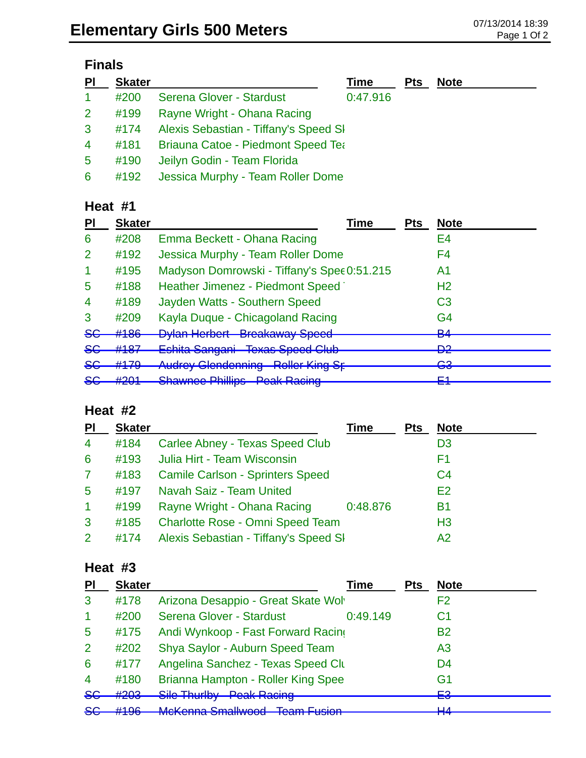### **Finals**

| PI             | <b>Skater</b> |                                           | Time     | <b>Pts</b> | <b>Note</b> |
|----------------|---------------|-------------------------------------------|----------|------------|-------------|
| $\mathbf{1}$   | #200          | Serena Glover - Stardust                  | 0:47.916 |            |             |
| 2 <sup>1</sup> | #199          | Rayne Wright - Ohana Racing               |          |            |             |
| $\mathbf{3}$   | #174          | Alexis Sebastian - Tiffany's Speed SI     |          |            |             |
| $\overline{4}$ | #181          | <b>Briauna Catoe - Piedmont Speed Tea</b> |          |            |             |
| 5 <sup>5</sup> | #190          | Jeilyn Godin - Team Florida               |          |            |             |
| $6^{\circ}$    | #192          | Jessica Murphy - Team Roller Dome         |          |            |             |

#### **Heat #1**

#### **Heat #2**

| PI             | <b>Skater</b> |                                         | Time     | <b>Pts</b> | <b>Note</b>    |
|----------------|---------------|-----------------------------------------|----------|------------|----------------|
| $\overline{4}$ | #184          | Carlee Abney - Texas Speed Club         |          |            | D <sub>3</sub> |
| 6              | #193          | Julia Hirt - Team Wisconsin             |          |            | F1             |
| $\mathbf{7}$   | #183          | <b>Camile Carlson - Sprinters Speed</b> |          |            | C <sub>4</sub> |
| 5              | #197          | Navah Saiz - Team United                |          |            | E2             |
| $\mathbf{1}$   | #199          | Rayne Wright - Ohana Racing             | 0:48.876 |            | <b>B1</b>      |
| 3              | #185          | Charlotte Rose - Omni Speed Team        |          |            | H <sub>3</sub> |
| $\overline{2}$ | #174          | Alexis Sebastian - Tiffany's Speed SI   |          |            | A2             |

#### **Heat #3**

| PI             | <b>Skater</b> |                                    | <b>Fime</b> | Pts | <b>Note</b>     |
|----------------|---------------|------------------------------------|-------------|-----|-----------------|
| 3              | #178          | Arizona Desappio - Great Skate Wol |             |     | F2              |
|                | #200          | Serena Glover - Stardust           | 0:49.149    |     | C <sub>1</sub>  |
| 5              | #175          | Andi Wynkoop - Fast Forward Racing |             |     | <b>B2</b>       |
| $\overline{2}$ | #202          | Shya Saylor - Auburn Speed Team    |             |     | A <sub>3</sub>  |
| 6              | #177          | Angelina Sanchez - Texas Speed Clu |             |     | D <sub>4</sub>  |
| $\overline{4}$ | #180          | Brianna Hampton - Roller King Spee |             |     | G1              |
| <del>SC</del>  | #203          | Sile Thurlby - Peak Racing         |             |     | <b>∟</b> ء<br>▬ |
| SE             | H10c          | McKonna Smallwood - Toam Eucion    |             |     | ⊔⊿              |
|                |               |                                    |             |     |                 |